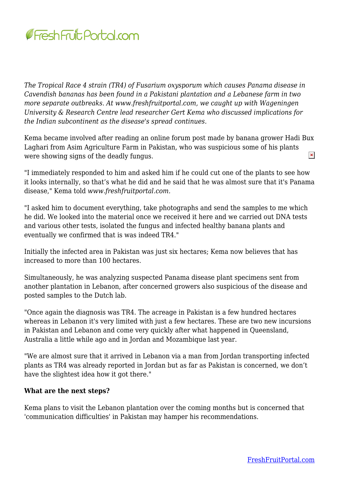

*The Tropical Race 4 strain (TR4) of Fusarium oxysporum which causes Panama disease in Cavendish bananas has been found in a Pakistani plantation and a Lebanese farm in two more separate outbreaks. At www.freshfruitportal.com, we caught up with Wageningen University & Research Centre lead researcher Gert Kema who discussed implications for the Indian subcontinent as the disease's spread continues.*

Kema became involved after reading an online forum post made by banana grower Hadi Bux Laghari from Asim Agriculture Farm in Pakistan, who was suspicious some of his plants  $\pmb{\times}$ were showing signs of the deadly fungus.

"I immediately responded to him and asked him if he could cut one of the plants to see how it looks internally, so that's what he did and he said that he was almost sure that it's Panama disease," Kema told *www.freshfruitportal.com.*

"I asked him to document everything, take photographs and send the samples to me which he did. We looked into the material once we received it here and we carried out DNA tests and various other tests, isolated the fungus and infected healthy banana plants and eventually we confirmed that is was indeed TR4."

Initially the infected area in Pakistan was just six hectares; Kema now believes that has increased to more than 100 hectares.

Simultaneously, he was analyzing suspected Panama disease plant specimens sent from another plantation in Lebanon, after concerned growers also suspicious of the disease and posted samples to the Dutch lab.

"Once again the diagnosis was TR4. The acreage in Pakistan is a few hundred hectares whereas in Lebanon it's very limited with just a few hectares. These are two new incursions in Pakistan and Lebanon and come very quickly after what happened in Queensland, Australia a little while ago and in Jordan and Mozambique last year.

"We are almost sure that it arrived in Lebanon via a man from Jordan transporting infected plants as TR4 was already reported in Jordan but as far as Pakistan is concerned, we don't have the slightest idea how it got there."

## **What are the next steps?**

Kema plans to visit the Lebanon plantation over the coming months but is concerned that 'communication difficulties' in Pakistan may hamper his recommendations.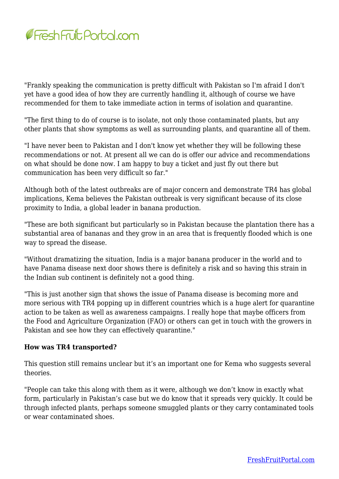

"Frankly speaking the communication is pretty difficult with Pakistan so I'm afraid I don't yet have a good idea of how they are currently handling it, although of course we have recommended for them to take immediate action in terms of isolation and quarantine.

"The first thing to do of course is to isolate, not only those contaminated plants, but any other plants that show symptoms as well as surrounding plants, and quarantine all of them.

"I have never been to Pakistan and I don't know yet whether they will be following these recommendations or not. At present all we can do is offer our advice and recommendations on what should be done now. I am happy to buy a ticket and just fly out there but communication has been very difficult so far."

Although both of the latest outbreaks are of major concern and demonstrate TR4 has global implications, Kema believes the Pakistan outbreak is very significant because of its close proximity to India, a global leader in banana production.

"These are both significant but particularly so in Pakistan because the plantation there has a substantial area of bananas and they grow in an area that is frequently flooded which is one way to spread the disease.

"Without dramatizing the situation, India is a major banana producer in the world and to have Panama disease next door shows there is definitely a risk and so having this strain in the Indian sub continent is definitely not a good thing.

"This is just another sign that shows the issue of Panama disease is becoming more and more serious with TR4 popping up in different countries which is a huge alert for quarantine action to be taken as well as awareness campaigns. I really hope that maybe officers from the Food and Agriculture Organization (FAO) or others can get in touch with the growers in Pakistan and see how they can effectively quarantine."

## **How was TR4 transported?**

This question still remains unclear but it's an important one for Kema who suggests several theories.

"People can take this along with them as it were, although we don't know in exactly what form, particularly in Pakistan's case but we do know that it spreads very quickly. It could be through infected plants, perhaps someone smuggled plants or they carry contaminated tools or wear contaminated shoes.